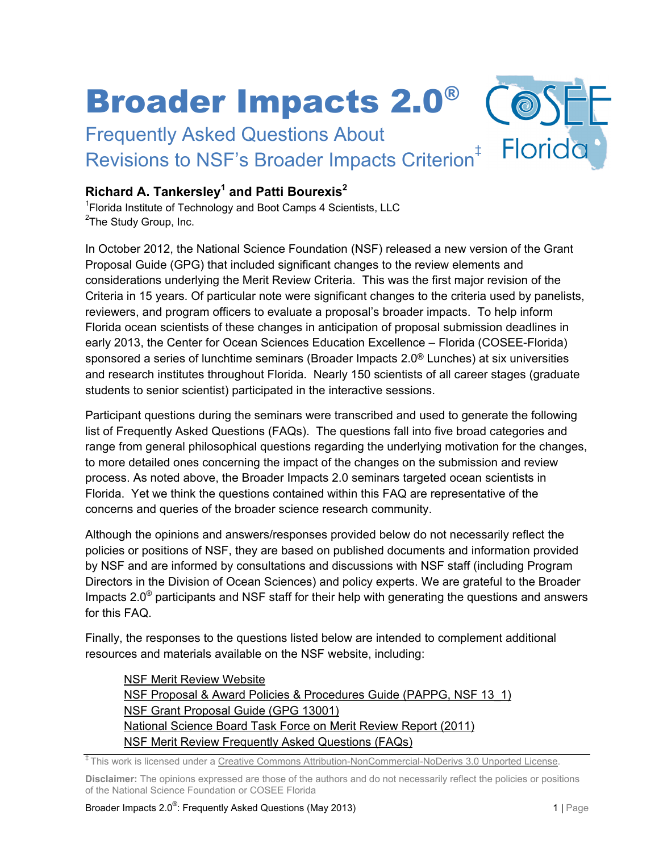# Broader Impacts 2.0®

Frequently Asked Questions About Revisions to NSF's Broader Impacts Criterion<sup>#</sup>

# **Richard A. Tankersley1 and Patti Bourexis2**

<sup>1</sup> Florida Institute of Technology and Boot Camps 4 Scientists, LLC <sup>2</sup>The Study Group, Inc.

In October 2012, the National Science Foundation (NSF) released a new version of the Grant Proposal Guide (GPG) that included significant changes to the review elements and considerations underlying the Merit Review Criteria. This was the first major revision of the Criteria in 15 years. Of particular note were significant changes to the criteria used by panelists, reviewers, and program officers to evaluate a proposal's broader impacts. To help inform Florida ocean scientists of these changes in anticipation of proposal submission deadlines in early 2013, the Center for Ocean Sciences Education Excellence – Florida (COSEE-Florida) sponsored a series of lunchtime seminars (Broader Impacts 2.0® Lunches) at six universities and research institutes throughout Florida. Nearly 150 scientists of all career stages (graduate students to senior scientist) participated in the interactive sessions.

Participant questions during the seminars were transcribed and used to generate the following list of Frequently Asked Questions (FAQs). The questions fall into five broad categories and range from general philosophical questions regarding the underlying motivation for the changes, to more detailed ones concerning the impact of the changes on the submission and review process. As noted above, the Broader Impacts 2.0 seminars targeted ocean scientists in Florida. Yet we think the questions contained within this FAQ are representative of the concerns and queries of the broader science research community.

Although the opinions and answers/responses provided below do not necessarily reflect the policies or positions of NSF, they are based on published documents and information provided by NSF and are informed by consultations and discussions with NSF staff (including Program Directors in the Division of Ocean Sciences) and policy experts. We are grateful to the Broader Impacts  $2.0^\circ$  participants and NSF staff for their help with generating the questions and answers for this FAQ.

Finally, the responses to the questions listed below are intended to complement additional resources and materials available on the NSF website, including:

[NSF Merit Review Website](http://www.nsf.gov/bfa/dias/policy/merit_review/) [NSF Proposal & Award Policies & Procedures Guide \(PAPPG, NSF 13\\_1\)](http://www.nsf.gov/publications/pub_summ.jsp?ods_key=papp) [NSF Grant Proposal Guide \(GPG 13001\)](http://www.nsf.gov/publications/pub_summ.jsp?ods_key=gpg) [National Science Board Task Force on Merit Review Report \(2011\)](http://www.nsf.gov/nsb/publications/2011/meritreviewcriteria.pdf) [NSF Merit Review Frequently Asked Questions \(FAQs\)](http://www.nsf.gov/bfa/dias/policy/merit_review/mrfaqs.jsp)

‡ This work is licensed under a [Creative Commons Attribution-NonCommercial-NoDerivs 3.0 Unported License.](http://creativecommons.org/licenses/by-nc-nd/3.0/deed.en_US)

**Disclaimer:** The opinions expressed are those of the authors and do not necessarily reflect the policies or positions of the National Science Foundation or COSEE Florida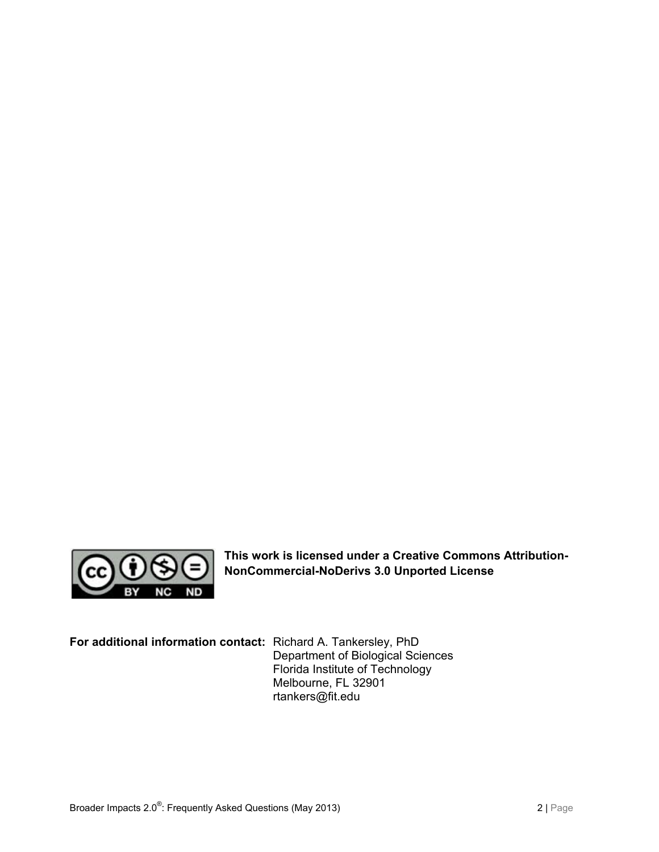

**This work is licensed under a Creative Commons Attribution-NonCommercial-NoDerivs 3.0 Unported License**

**For additional information contact:** Richard A. Tankersley, PhD

Department of Biological Sciences Florida Institute of Technology Melbourne, FL 32901 rtankers@fit.edu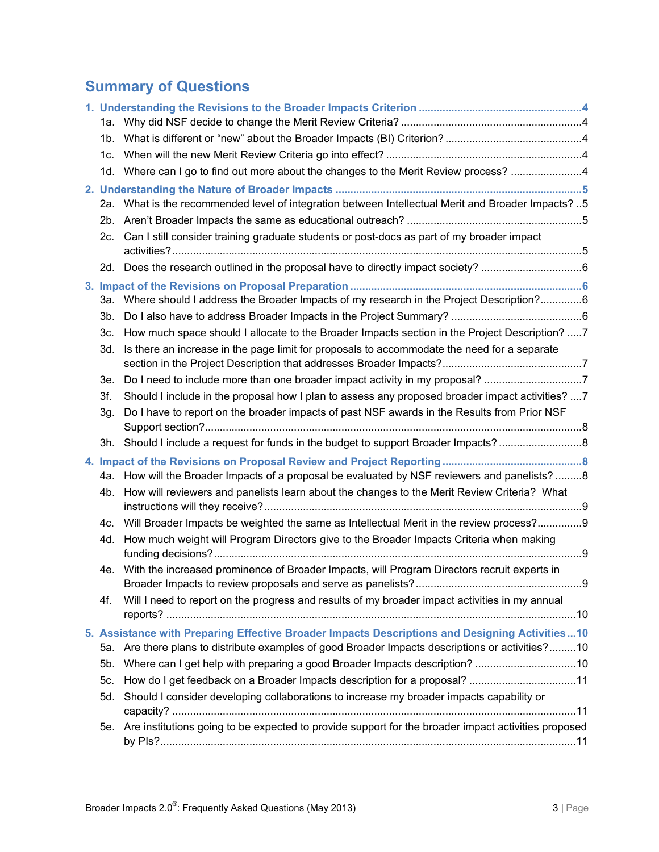# **Summary of Questions**

|  |                                                                                                | 1d. Where can I go to find out more about the changes to the Merit Review process? 4                    |  |
|--|------------------------------------------------------------------------------------------------|---------------------------------------------------------------------------------------------------------|--|
|  |                                                                                                |                                                                                                         |  |
|  |                                                                                                | 2a. What is the recommended level of integration between Intellectual Merit and Broader Impacts? 5      |  |
|  |                                                                                                |                                                                                                         |  |
|  | 2c. l                                                                                          | Can I still consider training graduate students or post-docs as part of my broader impact               |  |
|  |                                                                                                | 2d. Does the research outlined in the proposal have to directly impact society? 6                       |  |
|  |                                                                                                |                                                                                                         |  |
|  |                                                                                                | 3a. Where should I address the Broader Impacts of my research in the Project Description?6              |  |
|  |                                                                                                |                                                                                                         |  |
|  | 3c.                                                                                            | How much space should I allocate to the Broader Impacts section in the Project Description? 7           |  |
|  | 3d.                                                                                            | Is there an increase in the page limit for proposals to accommodate the need for a separate             |  |
|  |                                                                                                |                                                                                                         |  |
|  | 3e.                                                                                            | Do I need to include more than one broader impact activity in my proposal?                              |  |
|  | 3f.                                                                                            | Should I include in the proposal how I plan to assess any proposed broader impact activities? 7         |  |
|  | 3g.                                                                                            | Do I have to report on the broader impacts of past NSF awards in the Results from Prior NSF             |  |
|  |                                                                                                | 3h. Should I include a request for funds in the budget to support Broader Impacts?8                     |  |
|  |                                                                                                |                                                                                                         |  |
|  |                                                                                                | 4a. How will the Broader Impacts of a proposal be evaluated by NSF reviewers and panelists?8            |  |
|  | 4b.                                                                                            | How will reviewers and panelists learn about the changes to the Merit Review Criteria? What             |  |
|  |                                                                                                | 4c. Will Broader Impacts be weighted the same as Intellectual Merit in the review process?9             |  |
|  | 4d.                                                                                            | How much weight will Program Directors give to the Broader Impacts Criteria when making                 |  |
|  |                                                                                                | 4e. With the increased prominence of Broader Impacts, will Program Directors recruit experts in         |  |
|  |                                                                                                |                                                                                                         |  |
|  | 4f.                                                                                            | Will I need to report on the progress and results of my broader impact activities in my annual          |  |
|  | 5. Assistance with Preparing Effective Broader Impacts Descriptions and Designing Activities10 |                                                                                                         |  |
|  |                                                                                                | 5a. Are there plans to distribute examples of good Broader Impacts descriptions or activities?10        |  |
|  | 5b.                                                                                            |                                                                                                         |  |
|  | 5c.                                                                                            | How do I get feedback on a Broader Impacts description for a proposal? 11                               |  |
|  | 5d.                                                                                            | Should I consider developing collaborations to increase my broader impacts capability or                |  |
|  |                                                                                                |                                                                                                         |  |
|  |                                                                                                | 5e. Are institutions going to be expected to provide support for the broader impact activities proposed |  |
|  |                                                                                                |                                                                                                         |  |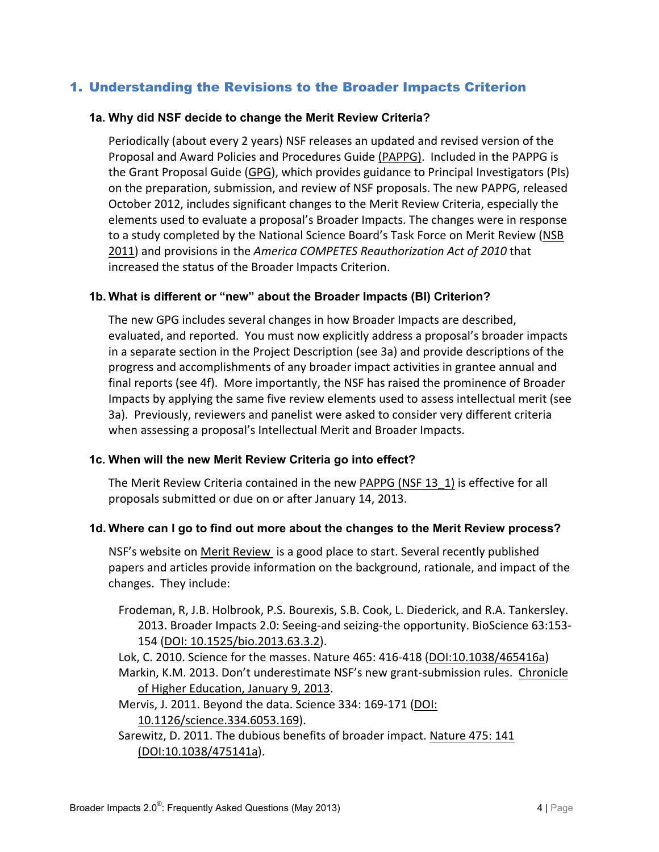# <span id="page-3-1"></span><span id="page-3-0"></span>1. Understanding the Revisions to the Broader Impacts Criterion

#### **1a. Why did NSF decide to change the Merit Review Criteria?**

Periodically (about every 2 years) NSF releases an updated and revised version of the Proposal and Award Policies and Procedures Guide [\(PAPPG\).](http://www.nsf.gov/publications/pub_summ.jsp?ods_key=papp) Included in the PAPPG is the Grant Proposal Guide [\(GPG\)](http://www.nsf.gov/publications/pub_summ.jsp?ods_key=gpg), which provides guidance to Principal Investigators (PIs) on the preparation, submission, and review of NSF proposals. The new PAPPG, released October 2012, includes significant changes to the Merit Review Criteria, especially the elements used to evaluate a proposal's Broader Impacts. The changes were in response to a study completed by the National Science Board's Task Force on Merit Review (NSB [2011\)](http://www.nsf.gov/nsb/publications/2011/meritreviewcriteria.pdf) and provisions in the *America COMPETES Reauthorization Act of 2010* that increased the status of the Broader Impacts Criterion.

#### <span id="page-3-2"></span>**1b. What is different or "new" about the Broader Impacts (BI) Criterion?**

The new GPG includes several changes in how Broader Impacts are described, evaluated, and reported. You must now explicitly address a proposal's broader impacts in a separate section in the Project Description (see 3a) and provide descriptions of the progress and accomplishments of any broader impact activities in grantee annual and final reports (see 4f). More importantly, the NSF has raised the prominence of Broader Impacts by applying the same five review elements used to assess intellectual merit (see 3a). Previously, reviewers and panelist were asked to consider very different criteria when assessing a proposal's Intellectual Merit and Broader Impacts.

#### <span id="page-3-3"></span>**1c. When will the new Merit Review Criteria go into effect?**

The Merit Review Criteria contained in the new [PAPPG \(NSF 13\\_1\)](http://www.nsf.gov/publications/pub_summ.jsp?ods_key=papp) is effective for all proposals submitted or due on or after January 14, 2013.

#### <span id="page-3-4"></span>**1d. Where can I go to find out more about the changes to the Merit Review process?**

NSF's website on [Merit Review](http://www.nsf.gov/bfa/dias/policy/merit_review/mrfaqs.jsp) is a good place to start. Several recently published papers and articles provide information on the background, rationale, and impact of the changes. They include:

Frodeman, R, J.B. Holbrook, P.S. Bourexis, S.B. Cook, L. Diederick, and R.A. Tankersley. 2013. Broader Impacts 2.0: Seeing-and seizing-the opportunity. BioScience 63:153- 154 [\(DOI: 10.1525/bio.2013.63.3.2\)](http://www.jstor.org/discover/10.1525/bio.2013.63.3.2?uid=3739936&uid=2129&uid=2134&uid=2&uid=70&uid=4&uid=3739256&sid=21102176953697).

Lok, C. 2010. Science for the masses. Nature 465: 416-418 [\(DOI:10.1038/465416a\)](http://www.nature.com/news/2010/100526/full/465416a.html) Markin, K.M. 2013. Don't underestimate NSF's new grant-submission rules. Chronicle [of Higher Education, January 9, 2013.](http://chronicle.com/article/Dont-Underestimate-NSFs-New/136521/#disqus_thread)

Mervis, J. 2011. Beyond the data. Science 334: 169-171 [\(DOI:](http://www.sciencemag.org/content/334/6053/169.summary) 

[10.1126/science.334.6053.169\)](http://www.sciencemag.org/content/334/6053/169.summary).

Sarewitz, D. 2011. The dubious benefits of broader impact. [Nature 475: 141](http://www.nature.com/news/2011/110713/full/475141a.html) [\(DOI:10.1038/475141a\)](http://www.nature.com/news/2011/110713/full/475141a.html).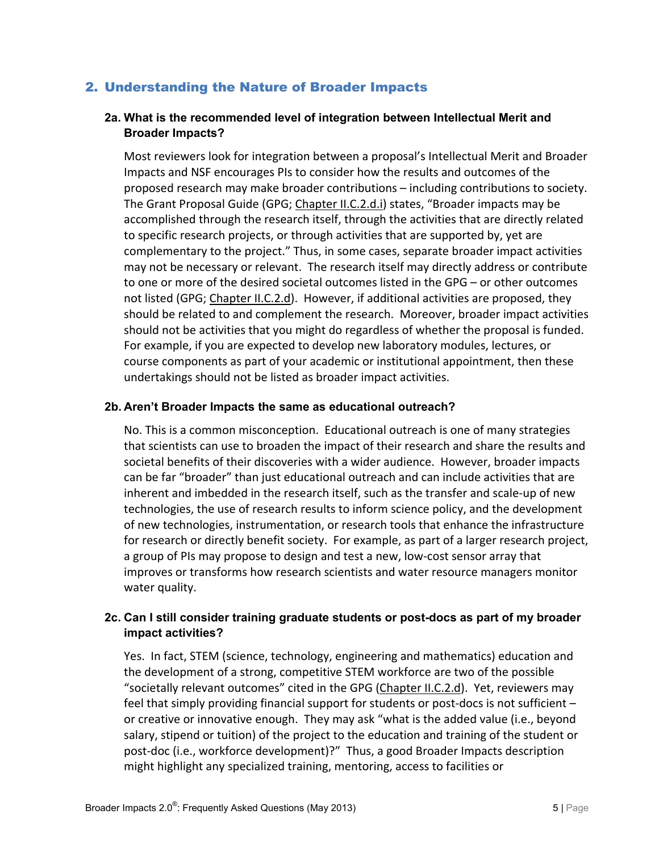### <span id="page-4-1"></span><span id="page-4-0"></span>2. Understanding the Nature of Broader Impacts

#### **2a. What is the recommended level of integration between Intellectual Merit and Broader Impacts?**

Most reviewers look for integration between a proposal's Intellectual Merit and Broader Impacts and NSF encourages PIs to consider how the results and outcomes of the proposed research may make broader contributions – including contributions to society. The Grant Proposal Guide (GPG; Chapter [II.C.2.d.i\)](http://www.nsf.gov/pubs/policydocs/pappguide/nsf13001/gpg_2.jsp#IIC2di) states, "Broader impacts may be accomplished through the research itself, through the activities that are directly related to specific research projects, or through activities that are supported by, yet are complementary to the project." Thus, in some cases, separate broader impact activities may not be necessary or relevant. The research itself may directly address or contribute to one or more of the desired societal outcomes listed in the GPG – or other outcomes not listed (GPG; [Chapter II.C.2.d\)](http://www.nsf.gov/pubs/policydocs/pappguide/nsf13001/gpg_2.jsp#IIC2di). However, if additional activities are proposed, they should be related to and complement the research. Moreover, broader impact activities should not be activities that you might do regardless of whether the proposal is funded. For example, if you are expected to develop new laboratory modules, lectures, or course components as part of your academic or institutional appointment, then these undertakings should not be listed as broader impact activities.

#### <span id="page-4-2"></span>**2b. Aren't Broader Impacts the same as educational outreach?**

No. This is a common misconception. Educational outreach is one of many strategies that scientists can use to broaden the impact of their research and share the results and societal benefits of their discoveries with a wider audience. However, broader impacts can be far "broader" than just educational outreach and can include activities that are inherent and imbedded in the research itself, such as the transfer and scale-up of new technologies, the use of research results to inform science policy, and the development of new technologies, instrumentation, or research tools that enhance the infrastructure for research or directly benefit society. For example, as part of a larger research project, a group of PIs may propose to design and test a new, low-cost sensor array that improves or transforms how research scientists and water resource managers monitor water quality.

#### <span id="page-4-3"></span>**2c. Can I still consider training graduate students or post-docs as part of my broader impact activities?**

Yes. In fact, STEM (science, technology, engineering and mathematics) education and the development of a strong, competitive STEM workforce are two of the possible "societally relevant outcomes" cited in the GPG [\(Chapter II.C.2.d\)](http://www.nsf.gov/pubs/policydocs/pappguide/nsf13001/gpg_2.jsp#IIC2di). Yet, reviewers may feel that simply providing financial support for students or post-docs is not sufficient – or creative or innovative enough. They may ask "what is the added value (i.e., beyond salary, stipend or tuition) of the project to the education and training of the student or post-doc (i.e., workforce development)?" Thus, a good Broader Impacts description might highlight any specialized training, mentoring, access to facilities or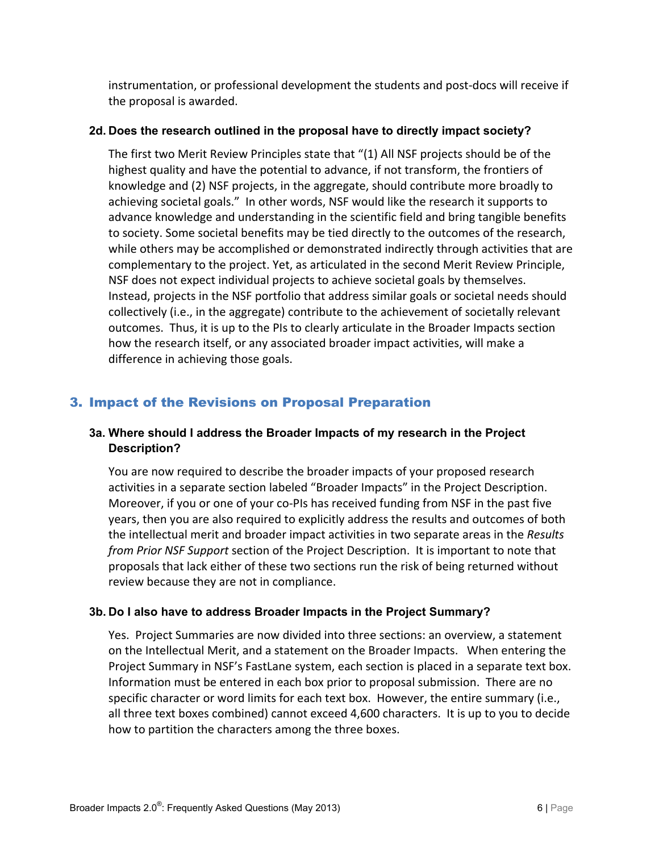instrumentation, or professional development the students and post-docs will receive if the proposal is awarded.

#### <span id="page-5-0"></span>**2d. Does the research outlined in the proposal have to directly impact society?**

The first two Merit Review Principles state that "(1) All NSF projects should be of the highest quality and have the potential to advance, if not transform, the frontiers of knowledge and (2) NSF projects, in the aggregate, should contribute more broadly to achieving societal goals." In other words, NSF would like the research it supports to advance knowledge and understanding in the scientific field and bring tangible benefits to society. Some societal benefits may be tied directly to the outcomes of the research, while others may be accomplished or demonstrated indirectly through activities that are complementary to the project. Yet, as articulated in the second Merit Review Principle, NSF does not expect individual projects to achieve societal goals by themselves. Instead, projects in the NSF portfolio that address similar goals or societal needs should collectively (i.e., in the aggregate) contribute to the achievement of societally relevant outcomes. Thus, it is up to the PIs to clearly articulate in the Broader Impacts section how the research itself, or any associated broader impact activities, will make a difference in achieving those goals.

# <span id="page-5-2"></span><span id="page-5-1"></span>3. Impact of the Revisions on Proposal Preparation

#### **3a. Where should I address the Broader Impacts of my research in the Project Description?**

You are now required to describe the broader impacts of your proposed research activities in a separate section labeled "Broader Impacts" in the Project Description. Moreover, if you or one of your co-PIs has received funding from NSF in the past five years, then you are also required to explicitly address the results and outcomes of both the intellectual merit and broader impact activities in two separate areas in the *Results from Prior NSF Support* section of the Project Description. It is important to note that proposals that lack either of these two sections run the risk of being returned without review because they are not in compliance.

#### <span id="page-5-3"></span>**3b. Do I also have to address Broader Impacts in the Project Summary?**

Yes. Project Summaries are now divided into three sections: an overview, a statement on the Intellectual Merit, and a statement on the Broader Impacts. When entering the Project Summary in NSF's FastLane system, each section is placed in a separate text box. Information must be entered in each box prior to proposal submission. There are no specific character or word limits for each text box. However, the entire summary (i.e., all three text boxes combined) cannot exceed 4,600 characters. It is up to you to decide how to partition the characters among the three boxes.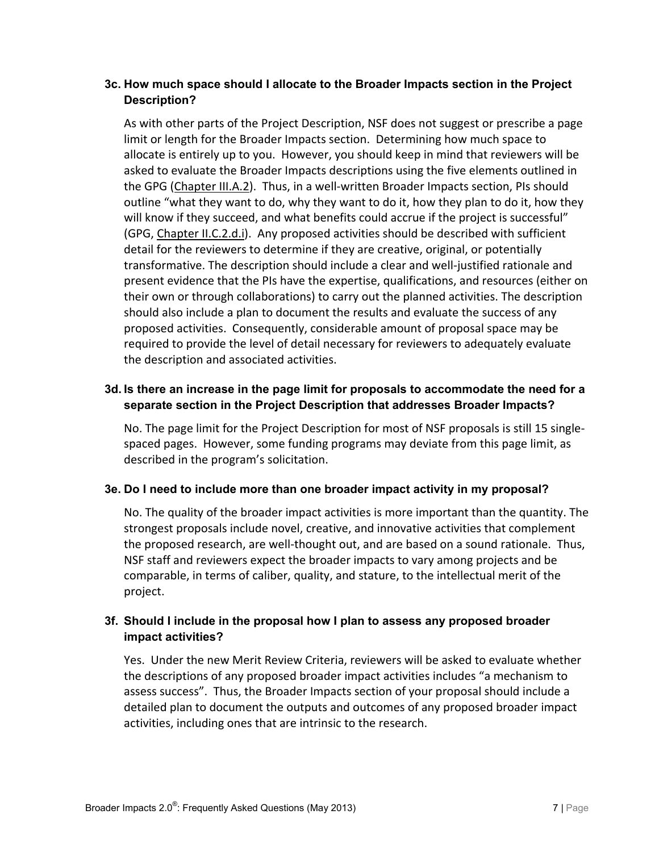#### <span id="page-6-0"></span>**3c. How much space should I allocate to the Broader Impacts section in the Project Description?**

As with other parts of the Project Description, NSF does not suggest or prescribe a page limit or length for the Broader Impacts section. Determining how much space to allocate is entirely up to you. However, you should keep in mind that reviewers will be asked to evaluate the Broader Impacts descriptions using the five elements outlined in the GPG [\(Chapter III.A.2\)](http://www.nsf.gov/pubs/policydocs/pappguide/nsf13001/gpg_3.jsp#IIIA2). Thus, in a well-written Broader Impacts section, PIs should outline "what they want to do, why they want to do it, how they plan to do it, how they will know if they succeed, and what benefits could accrue if the project is successful" (GPG, [Chapter II.C.2.d.i\)](http://www.nsf.gov/pubs/policydocs/pappguide/nsf13001/gpg_2.jsp#IIC2di). Any proposed activities should be described with sufficient detail for the reviewers to determine if they are creative, original, or potentially transformative. The description should include a clear and well-justified rationale and present evidence that the PIs have the expertise, qualifications, and resources (either on their own or through collaborations) to carry out the planned activities. The description should also include a plan to document the results and evaluate the success of any proposed activities. Consequently, considerable amount of proposal space may be required to provide the level of detail necessary for reviewers to adequately evaluate the description and associated activities.

#### <span id="page-6-1"></span>**3d. Is there an increase in the page limit for proposals to accommodate the need for a separate section in the Project Description that addresses Broader Impacts?**

No. The page limit for the Project Description for most of NSF proposals is still 15 singlespaced pages. However, some funding programs may deviate from this page limit, as described in the program's solicitation.

#### <span id="page-6-2"></span>**3e. Do I need to include more than one broader impact activity in my proposal?**

No. The quality of the broader impact activities is more important than the quantity. The strongest proposals include novel, creative, and innovative activities that complement the proposed research, are well-thought out, and are based on a sound rationale. Thus, NSF staff and reviewers expect the broader impacts to vary among projects and be comparable, in terms of caliber, quality, and stature, to the intellectual merit of the project.

#### <span id="page-6-3"></span>**3f. Should I include in the proposal how I plan to assess any proposed broader impact activities?**

Yes. Under the new Merit Review Criteria, reviewers will be asked to evaluate whether the descriptions of any proposed broader impact activities includes "a mechanism to assess success". Thus, the Broader Impacts section of your proposal should include a detailed plan to document the outputs and outcomes of any proposed broader impact activities, including ones that are intrinsic to the research.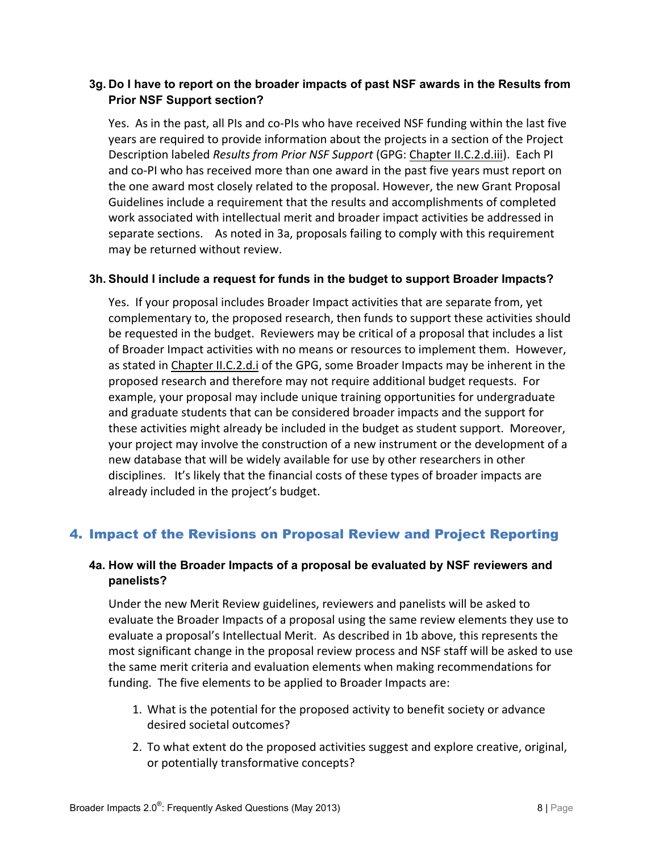#### <span id="page-7-0"></span>**3g. Do I have to report on the broader impacts of past NSF awards in the Results from Prior NSF Support section?**

Yes. As in the past, all PIs and co-PIs who have received NSF funding within the last five years are required to provide information about the projects in a section of the Project Description labeled *Results from Prior NSF Support* (GPG: [Chapter II.C.2.d.iii\)](http://www.nsf.gov/pubs/policydocs/pappguide/nsf13001/gpg_2.jsp#IIC2diii). Each PI and co-PI who has received more than one award in the past five years must report on the one award most closely related to the proposal. However, the new Grant Proposal Guidelines include a requirement that the results and accomplishments of completed work associated with intellectual merit and broader impact activities be addressed in separate sections. As noted in 3a, proposals failing to comply with this requirement may be returned without review.

#### <span id="page-7-1"></span>**3h. Should I include a request for funds in the budget to support Broader Impacts?**

Yes. If your proposal includes Broader Impact activities that are separate from, yet complementary to, the proposed research, then funds to support these activities should be requested in the budget. Reviewers may be critical of a proposal that includes a list of Broader Impact activities with no means or resources to implement them. However, as stated in [Chapter II.C.2.d.i](http://www.nsf.gov/pubs/policydocs/pappguide/nsf13001/gpg_2.jsp#IIC2di) of the GPG, some Broader Impacts may be inherent in the proposed research and therefore may not require additional budget requests. For example, your proposal may include unique training opportunities for undergraduate and graduate students that can be considered broader impacts and the support for these activities might already be included in the budget as student support. Moreover, your project may involve the construction of a new instrument or the development of a new database that will be widely available for use by other researchers in other disciplines. It's likely that the financial costs of these types of broader impacts are already included in the project's budget.

# <span id="page-7-3"></span><span id="page-7-2"></span>4. Impact of the Revisions on Proposal Review and Project Reporting

#### **4a. How will the Broader Impacts of a proposal be evaluated by NSF reviewers and panelists?**

Under the new Merit Review guidelines, reviewers and panelists will be asked to evaluate the Broader Impacts of a proposal using the same review elements they use to evaluate a proposal's Intellectual Merit. As described in 1b above, this represents the most significant change in the proposal review process and NSF staff will be asked to use the same merit criteria and evaluation elements when making recommendations for funding. The five elements to be applied to Broader Impacts are:

- 1. What is the potential for the proposed activity to benefit society or advance desired societal outcomes?
- 2. To what extent do the proposed activities suggest and explore creative, original, or potentially transformative concepts?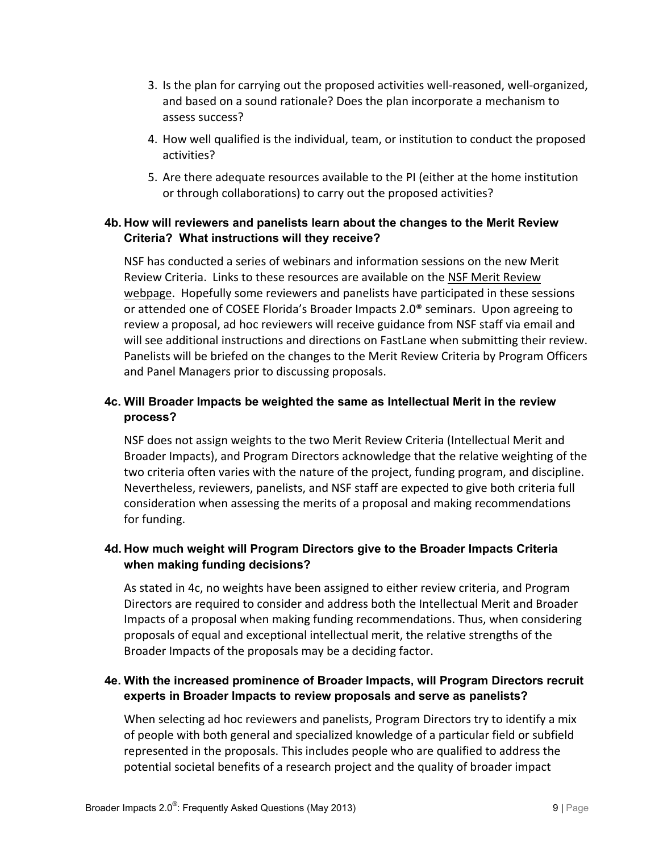- 3. Is the plan for carrying out the proposed activities well-reasoned, well-organized, and based on a sound rationale? Does the plan incorporate a mechanism to assess success?
- 4. How well qualified is the individual, team, or institution to conduct the proposed activities?
- 5. Are there adequate resources available to the PI (either at the home institution or through collaborations) to carry out the proposed activities?

#### <span id="page-8-0"></span>**4b. How will reviewers and panelists learn about the changes to the Merit Review Criteria? What instructions will they receive?**

NSF has conducted a series of webinars and information sessions on the new Merit Review Criteria. Links to these resources are available on the [NSF Merit Review](http://www.nsf.gov/bfa/dias/policy/merit_review/resources.jsp)  [webpage.](http://www.nsf.gov/bfa/dias/policy/merit_review/resources.jsp) Hopefully some reviewers and panelists have participated in these sessions or attended one of COSEE Florida's Broader Impacts 2.0® seminars. Upon agreeing to review a proposal, ad hoc reviewers will receive guidance from NSF staff via email and will see additional instructions and directions on FastLane when submitting their review. Panelists will be briefed on the changes to the Merit Review Criteria by Program Officers and Panel Managers prior to discussing proposals.

#### <span id="page-8-1"></span>**4c. Will Broader Impacts be weighted the same as Intellectual Merit in the review process?**

NSF does not assign weights to the two Merit Review Criteria (Intellectual Merit and Broader Impacts), and Program Directors acknowledge that the relative weighting of the two criteria often varies with the nature of the project, funding program, and discipline. Nevertheless, reviewers, panelists, and NSF staff are expected to give both criteria full consideration when assessing the merits of a proposal and making recommendations for funding.

#### <span id="page-8-2"></span>**4d. How much weight will Program Directors give to the Broader Impacts Criteria when making funding decisions?**

As stated in 4c, no weights have been assigned to either review criteria, and Program Directors are required to consider and address both the Intellectual Merit and Broader Impacts of a proposal when making funding recommendations. Thus, when considering proposals of equal and exceptional intellectual merit, the relative strengths of the Broader Impacts of the proposals may be a deciding factor.

#### <span id="page-8-3"></span>**4e. With the increased prominence of Broader Impacts, will Program Directors recruit experts in Broader Impacts to review proposals and serve as panelists?**

When selecting ad hoc reviewers and panelists, Program Directors try to identify a mix of people with both general and specialized knowledge of a particular field or subfield represented in the proposals. This includes people who are qualified to address the potential societal benefits of a research project and the quality of broader impact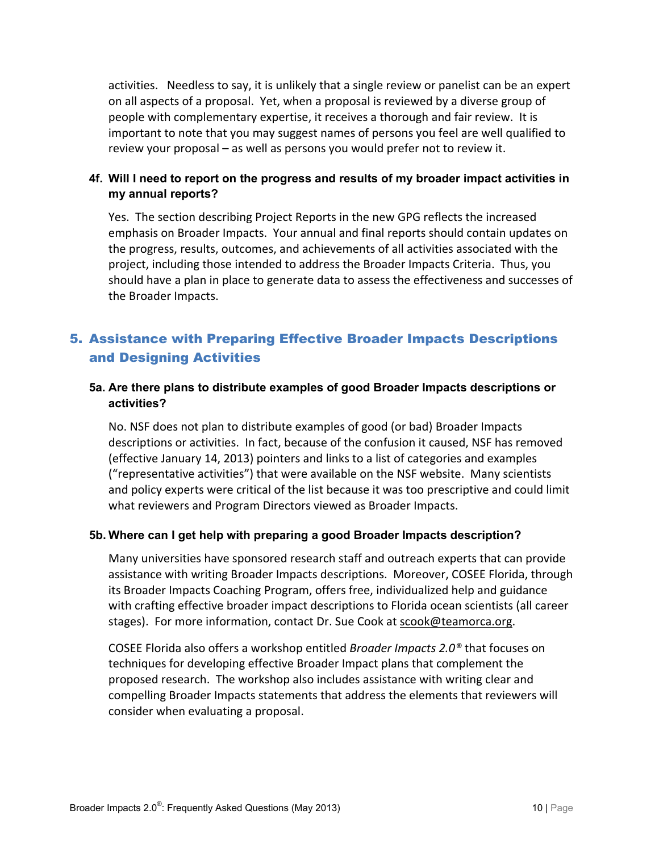activities. Needless to say, it is unlikely that a single review or panelist can be an expert on all aspects of a proposal. Yet, when a proposal is reviewed by a diverse group of people with complementary expertise, it receives a thorough and fair review. It is important to note that you may suggest names of persons you feel are well qualified to review your proposal – as well as persons you would prefer not to review it.

#### <span id="page-9-0"></span>**4f. Will I need to report on the progress and results of my broader impact activities in my annual reports?**

Yes. The section describing Project Reports in the new GPG reflects the increased emphasis on Broader Impacts. Your annual and final reports should contain updates on the progress, results, outcomes, and achievements of all activities associated with the project, including those intended to address the Broader Impacts Criteria. Thus, you should have a plan in place to generate data to assess the effectiveness and successes of the Broader Impacts.

# <span id="page-9-1"></span>5. Assistance with Preparing Effective Broader Impacts Descriptions and Designing Activities

#### <span id="page-9-2"></span>**5a. Are there plans to distribute examples of good Broader Impacts descriptions or activities?**

No. NSF does not plan to distribute examples of good (or bad) Broader Impacts descriptions or activities. In fact, because of the confusion it caused, NSF has removed (effective January 14, 2013) pointers and links to a list of categories and examples ("representative activities") that were available on the NSF website. Many scientists and policy experts were critical of the list because it was too prescriptive and could limit what reviewers and Program Directors viewed as Broader Impacts.

#### <span id="page-9-3"></span>**5b. Where can I get help with preparing a good Broader Impacts description?**

Many universities have sponsored research staff and outreach experts that can provide assistance with writing Broader Impacts descriptions. Moreover, COSEE Florida, through its Broader Impacts Coaching Program, offers free, individualized help and guidance with crafting effective broader impact descriptions to Florida ocean scientists (all career stages). For more information, contact Dr. Sue Cook at [scook@teamorca.org.](mailto:scook@teamorca.org)

COSEE Florida also offers a workshop entitled *Broader Impacts 2.0®* that focuses on techniques for developing effective Broader Impact plans that complement the proposed research. The workshop also includes assistance with writing clear and compelling Broader Impacts statements that address the elements that reviewers will consider when evaluating a proposal.